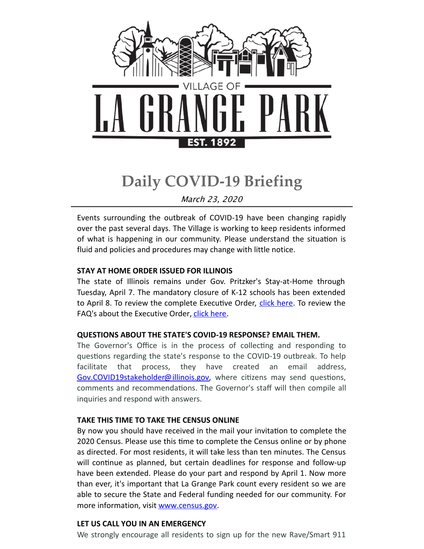

# **Daily COVID-19 Briefing**

March 23, 2020

Events surrounding the outbreak of COVID-19 have been changing rapidly over the past several days. The Village is working to keep residents informed of what is happening in our community. Please understand the situation is fluid and policies and procedures may change with little notice.

# **STAY AT HOME ORDER ISSUED FOR ILLINOIS**

The state of Illinois remains under Gov. Pritzker's Stay-at-Home through Tuesday, April 7. The mandatory closure of K-12 schools has been extended to April 8. To review the complete Executive Order, click [here](https://files.constantcontact.com/fac2adf0101/a2e0aa94-a735-498e-90ee-3b48afbcaef7.pdf). To review the FAQ's about the Executive Order, click [here](https://files.constantcontact.com/fac2adf0101/9380fabf-7e4d-4c29-9ac1-028d1e0ab60b.pdf).

# **QUESTIONS ABOUT THE STATE'S COVID-19 RESPONSE? EMAIL THEM.**

The Governor's Office is in the process of collecting and responding to questions regarding the state's response to the COVID-19 outbreak. To help facilitate that process, they have created an email address, [Gov.COVID19stakeholder@illinois.gov](mailto:Gov.COVID19stakeholder@illinois.gov), where citizens may send questions, comments and recommendations. The Governor's staff will then compile all inquiries and respond with answers.

# **TAKE THIS TIME TO TAKE THE CENSUS ONLINE**

By now you should have received in the mail your invitation to complete the 2020 Census. Please use this time to complete the Census online or by phone as directed. For most residents, it will take less than ten minutes. The Census will continue as planned, but certain deadlines for response and follow-up have been extended. Please do your part and respond by April 1. Now more than ever, it's important that La Grange Park count every resident so we are able to secure the State and Federal funding needed for our community. For more information, visit [www.census.gov](http://www.census.gove.).

# **LET US CALL YOU IN AN EMERGENCY**

We strongly encourage all residents to sign up for the new Rave/Smart 911